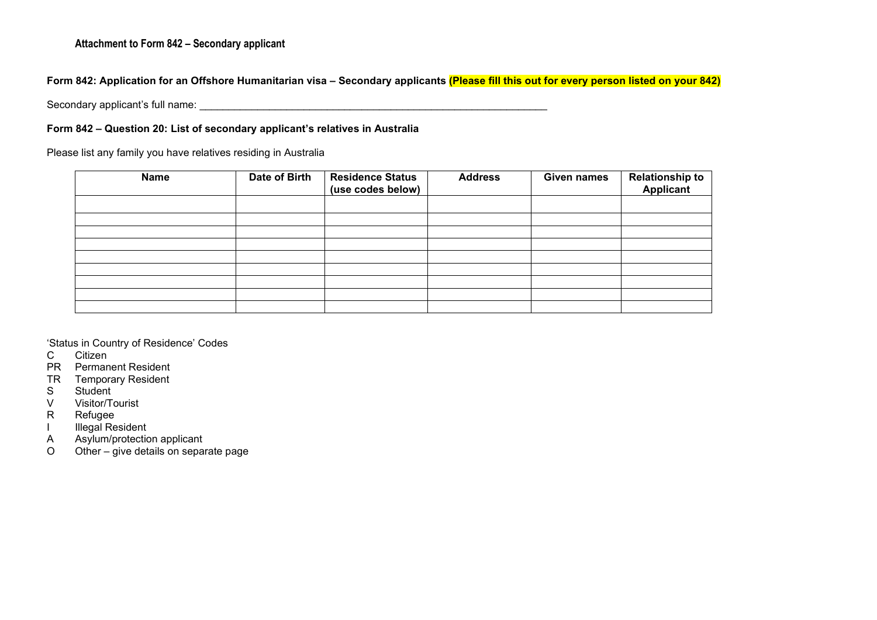### **Attachment to Form 842 – Secondary applicant**

## **Form 842: Application for an Offshore Humanitarian visa – Secondary applicants (Please fill this out for every person listed on your 842)**

Secondary applicant's full name:  $\Box$ 

#### **Form 842 – Question 20: List of secondary applicant's relatives in Australia**

Please list any family you have relatives residing in Australia

| <b>Name</b> | Date of Birth | <b>Residence Status</b><br>(use codes below) | <b>Address</b> | <b>Given names</b> | <b>Relationship to</b><br><b>Applicant</b> |
|-------------|---------------|----------------------------------------------|----------------|--------------------|--------------------------------------------|
|             |               |                                              |                |                    |                                            |
|             |               |                                              |                |                    |                                            |
|             |               |                                              |                |                    |                                            |
|             |               |                                              |                |                    |                                            |
|             |               |                                              |                |                    |                                            |
|             |               |                                              |                |                    |                                            |
|             |               |                                              |                |                    |                                            |
|             |               |                                              |                |                    |                                            |
|             |               |                                              |                |                    |                                            |
|             |               |                                              |                |                    |                                            |

'Status in Country of Residence' Codes

Citizen

PR Permanent Resident

TR Temporary Resident<br>S Student

S Student<br>V Visitor/T

V Visitor/Tourist<br>R Refugee

**Refugee** 

I Illegal Resident

A Asylum/protection applicant

O Other – give details on separate page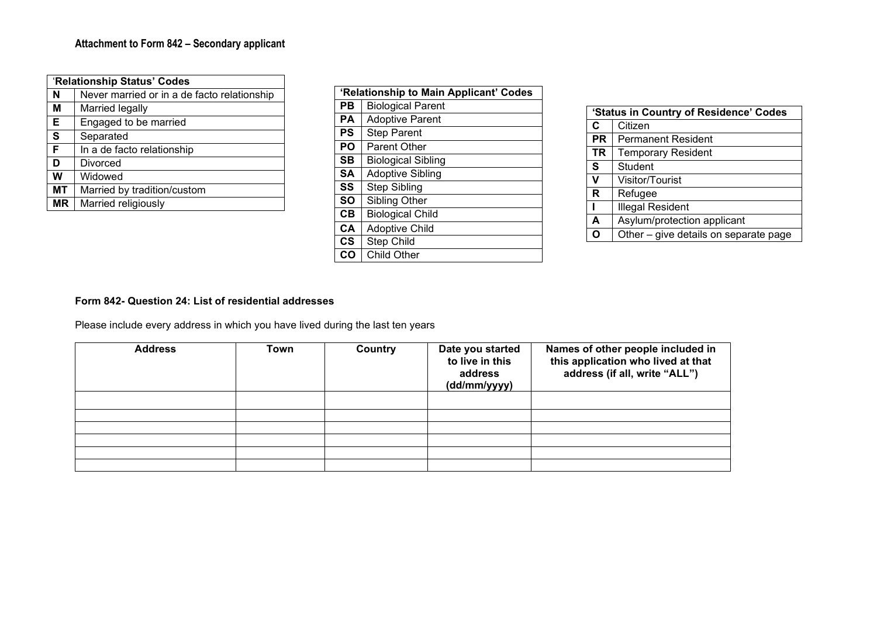|    | 'Relationship Status' Codes                 |  |  |  |  |
|----|---------------------------------------------|--|--|--|--|
| N  | Never married or in a de facto relationship |  |  |  |  |
| M  | Married legally                             |  |  |  |  |
| Е  | Engaged to be married                       |  |  |  |  |
| S  | Separated                                   |  |  |  |  |
| F  | In a de facto relationship                  |  |  |  |  |
| D  | Divorced                                    |  |  |  |  |
| W  | Widowed                                     |  |  |  |  |
| МT | Married by tradition/custom                 |  |  |  |  |
| ΜR | Married religiously                         |  |  |  |  |

|               | 'Relationship to Main Applicant' Codes |  |  |  |  |
|---------------|----------------------------------------|--|--|--|--|
| PВ            | <b>Biological Parent</b>               |  |  |  |  |
| PA            | <b>Adoptive Parent</b>                 |  |  |  |  |
| PS            | <b>Step Parent</b>                     |  |  |  |  |
| PO            | <b>Parent Other</b>                    |  |  |  |  |
| SВ            | <b>Biological Sibling</b>              |  |  |  |  |
| <b>SA</b>     | <b>Adoptive Sibling</b>                |  |  |  |  |
| SS            | Step Sibling                           |  |  |  |  |
| <b>SO</b>     | Sibling Other                          |  |  |  |  |
| CB            | <b>Biological Child</b>                |  |  |  |  |
| <b>CA</b>     | <b>Adoptive Child</b>                  |  |  |  |  |
| $\mathsf{cs}$ | Step Child                             |  |  |  |  |
| CO            | Child Other                            |  |  |  |  |

|           | 'Status in Country of Residence' Codes |  |  |  |  |
|-----------|----------------------------------------|--|--|--|--|
| C         | Citizen                                |  |  |  |  |
| <b>PR</b> | <b>Permanent Resident</b>              |  |  |  |  |
| TR        | <b>Temporary Resident</b>              |  |  |  |  |
| S         | <b>Student</b>                         |  |  |  |  |
| V         | Visitor/Tourist                        |  |  |  |  |
| R         | Refugee                                |  |  |  |  |
| ı         | Illegal Resident                       |  |  |  |  |
| A         | Asylum/protection applicant            |  |  |  |  |
|           | Other - give details on separate page  |  |  |  |  |

## **Form 842- Question 24: List of residential addresses**

Please include every address in which you have lived during the last ten years

| <b>Address</b> | Town | Country | Date you started<br>to live in this<br>address<br>(dd/mm/yyyy) | Names of other people included in<br>this application who lived at that<br>address (if all, write "ALL") |
|----------------|------|---------|----------------------------------------------------------------|----------------------------------------------------------------------------------------------------------|
|                |      |         |                                                                |                                                                                                          |
|                |      |         |                                                                |                                                                                                          |
|                |      |         |                                                                |                                                                                                          |
|                |      |         |                                                                |                                                                                                          |
|                |      |         |                                                                |                                                                                                          |
|                |      |         |                                                                |                                                                                                          |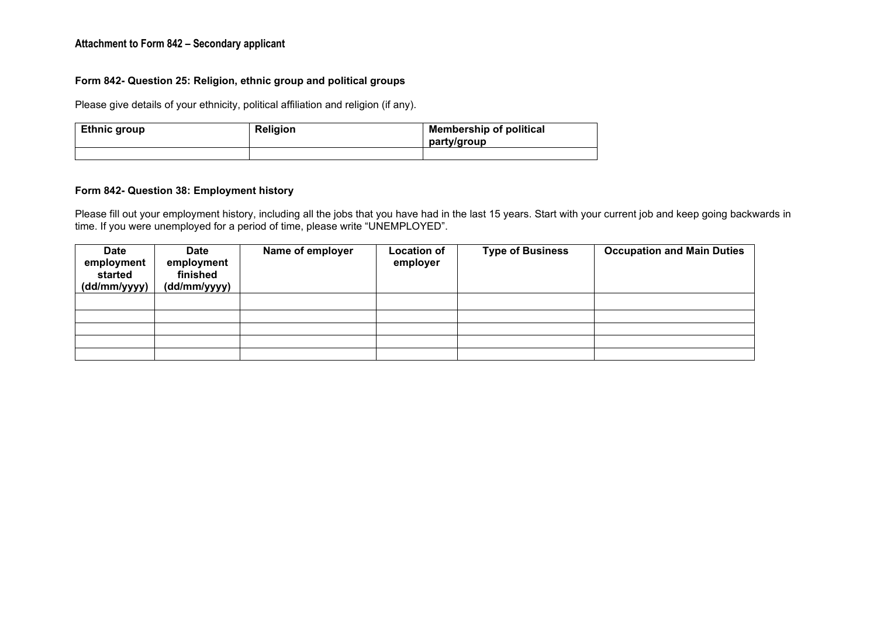#### **Attachment to Form 842 – Secondary applicant**

#### **Form 842- Question 25: Religion, ethnic group and political groups**

Please give details of your ethnicity, political affiliation and religion (if any).

| <b>Ethnic group</b> | <b>Religion</b> | <b>Membership of political</b><br>party/group |  |
|---------------------|-----------------|-----------------------------------------------|--|
|                     |                 |                                               |  |

### **Form 842- Question 38: Employment history**

Please fill out your employment history, including all the jobs that you have had in the last 15 years. Start with your current job and keep going backwards in time. If you were unemployed for a period of time, please write "UNEMPLOYED".

| <b>Date</b><br>employment<br>started<br>(dd/mm/yyyy) | <b>Date</b><br>employment<br>finished<br>(dd/mm/yyyy) | Name of employer | <b>Location of</b><br>employer | <b>Type of Business</b> | <b>Occupation and Main Duties</b> |
|------------------------------------------------------|-------------------------------------------------------|------------------|--------------------------------|-------------------------|-----------------------------------|
|                                                      |                                                       |                  |                                |                         |                                   |
|                                                      |                                                       |                  |                                |                         |                                   |
|                                                      |                                                       |                  |                                |                         |                                   |
|                                                      |                                                       |                  |                                |                         |                                   |
|                                                      |                                                       |                  |                                |                         |                                   |